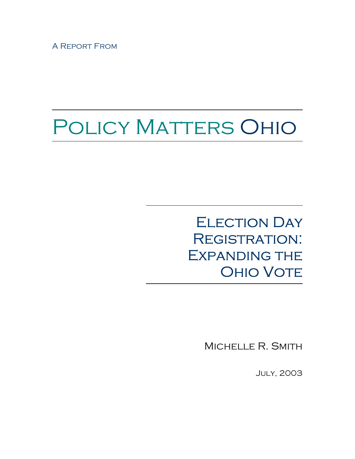A Report From

# POLICY MATTERS OHIO

## **ELECTION DAY** REGISTRATION: EXPANDING THE **OHIO VOTE**

Michelle R. Smith

July, 2003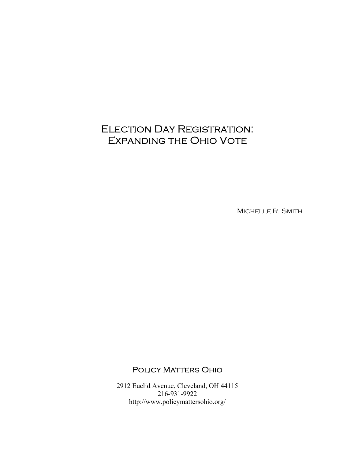### Election Day Registration: Expanding the Ohio Vote

Michelle R. Smith

#### POLICY MATTERS OHIO

2912 Euclid Avenue, Cleveland, OH 44115 216-931-9922 http://www.policymattersohio.org/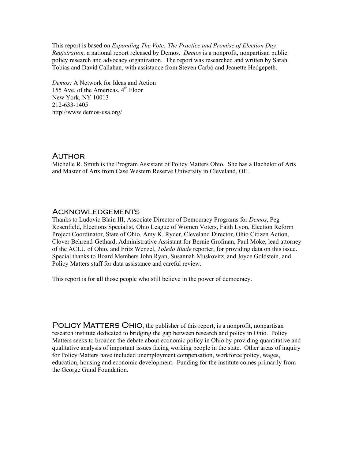This report is based on *Expanding The Vote: The Practice and Promise of Election Day Registration,* a national report released by Demos. *Demos* is a nonprofit, nonpartisan public policy research and advocacy organization. The report was researched and written by Sarah Tobias and David Callahan, with assistance from Steven Carbó and Jeanette Hedgepeth.

*Demos:* A Network for Ideas and Action 155 Ave. of the Americas,  $4<sup>th</sup>$  Floor New York, NY 10013 212-633-1405 http://www.demos-usa.org/

#### Author

Michelle R. Smith is the Program Assistant of Policy Matters Ohio. She has a Bachelor of Arts and Master of Arts from Case Western Reserve University in Cleveland, OH.

#### Acknowledgements

Thanks to Ludovic Blain III, Associate Director of Democracy Programs for *Demos*, Peg Rosenfield, Elections Specialist, Ohio League of Women Voters, Faith Lyon, Election Reform Project Coordinator, State of Ohio, Amy K. Ryder, Cleveland Director, Ohio Citizen Action, Clover Behrend-Gethard, Administrative Assistant for Bernie Grofman, Paul Moke, lead attorney of the ACLU of Ohio, and Fritz Wenzel, *Toledo Blade* reporter, for providing data on this issue. Special thanks to Board Members John Ryan, Susannah Muskovitz, and Joyce Goldstein, and Policy Matters staff for data assistance and careful review.

This report is for all those people who still believe in the power of democracy.

POLICY MATTERS OHIO, the publisher of this report, is a nonprofit, nonpartisan research institute dedicated to bridging the gap between research and policy in Ohio. Policy Matters seeks to broaden the debate about economic policy in Ohio by providing quantitative and qualitative analysis of important issues facing working people in the state. Other areas of inquiry for Policy Matters have included unemployment compensation, workforce policy, wages, education, housing and economic development. Funding for the institute comes primarily from the George Gund Foundation.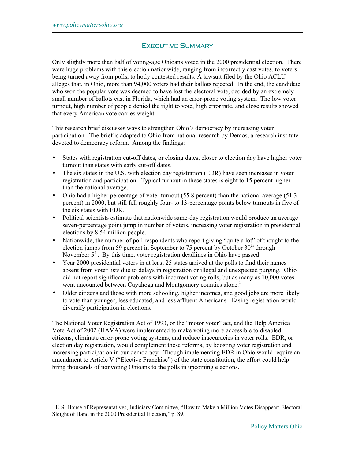#### Executive Summary

Only slightly more than half of voting-age Ohioans voted in the 2000 presidential election. There were huge problems with this election nationwide, ranging from incorrectly cast votes, to voters being turned away from polls, to hotly contested results. A lawsuit filed by the Ohio ACLU alleges that, in Ohio, more than 94,000 voters had their ballots rejected. In the end, the candidate who won the popular vote was deemed to have lost the electoral vote, decided by an extremely small number of ballots cast in Florida, which had an error-prone voting system. The low voter turnout, high number of people denied the right to vote, high error rate, and close results showed that every American vote carries weight.

This research brief discusses ways to strengthen Ohio's democracy by increasing voter participation. The brief is adapted to Ohio from national research by Demos, a research institute devoted to democracy reform. Among the findings:

- States with registration cut-off dates, or closing dates, closer to election day have higher voter turnout than states with early cut-off dates.
- The six states in the U.S. with election day registration (EDR) have seen increases in voter registration and participation. Typical turnout in these states is eight to 15 percent higher than the national average.
- Ohio had a higher percentage of voter turnout (55.8 percent) than the national average (51.3 percent) in 2000, but still fell roughly four- to 13-percentage points below turnouts in five of the six states with EDR.
- Political scientists estimate that nationwide same-day registration would produce an average seven-percentage point jump in number of voters, increasing voter registration in presidential elections by 8.54 million people.
- Nationwide, the number of poll respondents who report giving "quite a lot" of thought to the election jumps from 59 percent in September to 75 percent by October  $30<sup>th</sup>$  through November  $5<sup>th</sup>$ . By this time, voter registration deadlines in Ohio have passed.
- Year 2000 presidential voters in at least 25 states arrived at the polls to find their names absent from voter lists due to delays in registration or illegal and unexpected purging. Ohio did not report significant problems with incorrect voting rolls, but as many as 10,000 votes went uncounted between Cuyahoga and Montgomery counties alone.<sup>1</sup>
- Older citizens and those with more schooling, higher incomes, and good jobs are more likely to vote than younger, less educated, and less affluent Americans. Easing registration would diversify participation in elections.

The National Voter Registration Act of 1993, or the "motor voter" act, and the Help America Vote Act of 2002 (HAVA) were implemented to make voting more accessible to disabled citizens, eliminate error-prone voting systems, and reduce inaccuracies in voter rolls. EDR, or election day registration, would complement these reforms, by boosting voter registration and increasing participation in our democracy. Though implementing EDR in Ohio would require an amendment to Article V ("Elective Franchise") of the state constitution, the effort could help bring thousands of nonvoting Ohioans to the polls in upcoming elections.

 1 U.S. House of Representatives, Judiciary Committee, "How to Make a Million Votes Disappear: Electoral Sleight of Hand in the 2000 Presidential Election," p. 89.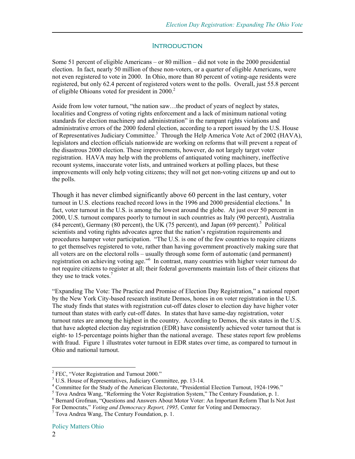#### **INTRODUCTION**

Some 51 percent of eligible Americans – or 80 million – did not vote in the 2000 presidential election. In fact, nearly 50 million of these non-voters, or a quarter of eligible Americans, were not even registered to vote in 2000. In Ohio, more than 80 percent of voting-age residents were registered, but only 62.4 percent of registered voters went to the polls. Overall, just 55.8 percent of eligible Ohioans voted for president in 2000.<sup>2</sup>

Aside from low voter turnout, "the nation saw…the product of years of neglect by states, localities and Congress of voting rights enforcement and a lack of minimum national voting standards for election machinery and administration" in the rampant rights violations and administrative errors of the 2000 federal election, according to a report issued by the U.S. House of Representatives Judiciary Committee.<sup>3</sup> Through the Help America Vote Act of 2002 (HAVA), legislators and election officials nationwide are working on reforms that will prevent a repeat of the disastrous 2000 election. These improvements, however, do not largely target voter registration. HAVA may help with the problems of antiquated voting machinery, ineffective recount systems, inaccurate voter lists, and untrained workers at polling places, but these improvements will only help voting citizens; they will not get non-voting citizens up and out to the polls.

Though it has never climbed significantly above 60 percent in the last century, voter turnout in U.S. elections reached record lows in the 1996 and 2000 presidential elections.<sup>4</sup> In fact, voter turnout in the U.S. is among the lowest around the globe. At just over 50 percent in 2000, U.S. turnout compares poorly to turnout in such countries as Italy (90 percent), Australia (84 percent), Germany (80 percent), the UK (75 percent), and Japan (69 percent).<sup>5</sup> Political scientists and voting rights advocates agree that the nation's registration requirements and procedures hamper voter participation. "The U.S. is one of the few countries to require citizens to get themselves registered to vote, rather than having government proactively making sure that all voters are on the electoral rolls – usually through some form of automatic (and permanent) registration on achieving voting age."<sup>6</sup> In contrast, many countries with higher voter turnout do not require citizens to register at all; their federal governments maintain lists of their citizens that they use to track votes. $7$ 

"Expanding The Vote: The Practice and Promise of Election Day Registration," a national report by the New York City-based research institute Demos, hones in on voter registration in the U.S. The study finds that states with registration cut-off dates closer to election day have higher voter turnout than states with early cut-off dates. In states that have same-day registration, voter turnout rates are among the highest in the country. According to Demos, the six states in the U.S. that have adopted election day registration (EDR) have consistently achieved voter turnout that is eight- to 15-percentage points higher than the national average. These states report few problems with fraud. Figure 1 illustrates voter turnout in EDR states over time, as compared to turnout in Ohio and national turnout.

<sup>&</sup>lt;sup>2</sup> FEC, "Voter Registration and Turnout 2000."

 $3 \text{ U.S.}$  House of Representatives, Judiciary Committee, pp. 13-14.

Committee for the Study of the American Electorate, "Presidential Election Turnout, 1924-1996."

 $<sup>5</sup>$  Tova Andrea Wang, "Reforming the Voter Registration System," The Century Foundation, p. 1.</sup>

<sup>&</sup>lt;sup>6</sup> Bernard Grofman, "Questions and Answers About Motor Voter: An Important Reform That Is Not Just For Democrats," *Voting and Democracy Report, 1995,* Center for Voting and Democracy. 7

 $7$  Tova Andrea Wang, The Century Foundation, p. 1.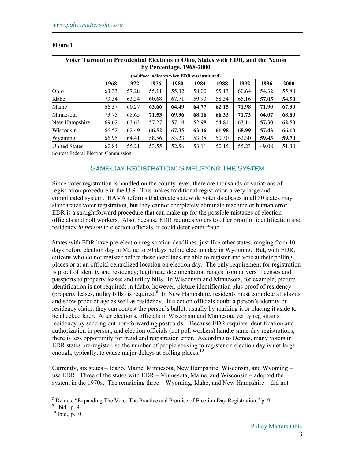| Voter Turnout in Presidential Elections in Ohio, States with EDR, and the Nation<br>by Percentage, 1968-2000 |       |       |       |       |       |       |       |       |       |
|--------------------------------------------------------------------------------------------------------------|-------|-------|-------|-------|-------|-------|-------|-------|-------|
| (boldface indicates when EDR was instituted)                                                                 |       |       |       |       |       |       |       |       |       |
|                                                                                                              | 1968  | 1972  | 1976  | 1980  | 1984  | 1988  | 1992  | 1996  | 2000  |
| Ohio                                                                                                         | 63.33 | 57.28 | 55.11 | 55.32 | 58.00 | 55.13 | 60.64 | 54.32 | 55.80 |
| Idaho                                                                                                        | 73.34 | 63.34 | 60.68 | 67.71 | 59.93 | 58.34 | 65.16 | 57.05 | 54.50 |
| Maine                                                                                                        | 66.37 | 60.27 | 63.66 | 64.49 | 64.77 | 62.15 | 71.98 | 71.90 | 67.30 |
| Minnesota                                                                                                    | 73.75 | 68.65 | 71.53 | 69.96 | 68.16 | 66.33 | 71.73 | 64.07 | 68.80 |
| New Hampshire                                                                                                | 69.62 | 63.63 | 57.27 | 57.14 | 52.98 | 54.81 | 63.14 | 57.30 | 62.50 |
| Wisconsin                                                                                                    | 66.52 | 62.49 | 66.52 | 67.35 | 63.46 | 61.98 | 68.99 | 57.43 | 66.10 |
| Wyoming                                                                                                      | 66.95 | 64.41 | 58.56 | 53.23 | 53.38 | 50.30 | 62.30 | 59.43 | 59.70 |
| <b>United States</b>                                                                                         | 60.84 | 55.21 | 53.55 | 52.56 | 53.11 | 50.15 | 55.23 | 49.08 | 51.30 |

#### **Figure 1**

Source: Federal Election Commission

#### Same-Day Registration: Simplifying The System

Since voter registration is handled on the county level, there are thousands of variations of registration procedure in the U.S. This makes traditional registration a very large and complicated system. HAVA reforms that create statewide voter databases in all 50 states may standardize voter registration, but they cannot completely eliminate machine or human error. EDR is a straightforward procedure that can make up for the possible mistakes of election officials and poll workers. Also, because EDR requires voters to offer proof of identification and residency *in person* to election officials, it could deter voter fraud.

States with EDR have pre-election registration deadlines, just like other states, ranging from 10 days before election day in Maine to 30 days before election day in Wyoming. But, with EDR, citizens who do not register before these deadlines are able to register and vote at their polling places or at an official centralized location on election day. The only requirement for registration is proof of identity and residency; legitimate documentation ranges from drivers' licenses and passports to property leases and utility bills. In Wisconsin and Minnesota, for example, picture identification is not required; in Idaho, however, picture identification plus proof of residency (property leases, utility bills) is required.<sup>8</sup> In New Hampshire, residents must complete affidavits and show proof of age as well as residency. If election officials doubt a person's identity or residency claim, they can contest the person's ballot, usually by marking it or placing it aside to be checked later. After elections, officials in Wisconsin and Minnesota verify registrants' residency by sending out non-forwarding postcards.<sup>9</sup> Because EDR requires identification and authorization in person, and election officials (not poll workers) handle same-day registrations, there is less opportunity for fraud and registration error. According to Demos, many voters in EDR states pre-register, so the number of people seeking to register on election day is not large enough, typically, to cause major delays at polling places.<sup>10</sup>

Currently, six states – Idaho, Maine, Minnesota, New Hampshire, Wisconsin, and Wyoming – use EDR. Three of the states with EDR – Minnesota, Maine, and Wisconsin – adopted the system in the 1970s. The remaining three – Wyoming, Idaho, and New Hampshire – did not

<sup>&</sup>lt;sup>8</sup> Demos, "Expanding The Vote: The Practice and Promise of Election Day Registration," p. 9.

 $9$  Ibid., p. 9.

<sup>&</sup>lt;sup>10</sup> Ibid., p.10.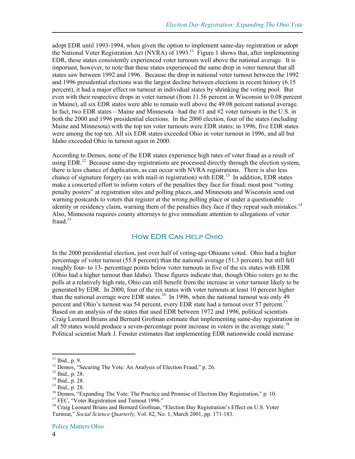adopt EDR until 1993-1994, when given the option to implement same-day registration or adopt the National Voter Registration Act (NVRA) of 1993.11 Figure 1 shows that, after implementing EDR, these states consistently experienced voter turnouts well above the national average. It is important, however, to note that these states experienced the same drop in voter turnout that all states saw between 1992 and 1996. Because the drop in national voter turnout between the 1992 and 1996 presidential elections was the largest decline between elections in recent history (6.15 percent), it had a major effect on turnout in individual states by shrinking the voting pool. But even with their respective drops in voter turnout (from 11.56 percent in Wisconsin to 0.08 percent in Maine), all six EDR states were able to remain well above the 49.08 percent national average. In fact, two EDR states – Maine and Minnesota –had the #1 and #2 voter turnouts in the U.S. in both the 2000 and 1996 presidential elections. In the 2000 election, four of the states (including Maine and Minnesota) with the top ten voter turnouts were EDR states; in 1996, five EDR states were among the top ten. All six EDR states exceeded Ohio in voter turnout in 1996, and all but Idaho exceeded Ohio in turnout again in 2000.

According to Demos, none of the EDR states experience high rates of voter fraud as a result of using EDR.<sup>12</sup> Because same-day registrations are processed directly through the election system, there is less chance of duplication, as can occur with NVRA registrations. There is also less chance of signature forgery (as with mail-in registration) with  $EDR<sup>13</sup>$  In addition, EDR states make a concerted effort to inform voters of the penalties they face for fraud; most post "voting penalty posters" at registration sites and polling places, and Minnesota and Wisconsin send out warning postcards to voters that register at the wrong polling place or under a questionable identity or residency claim, warning them of the penalties they face if they repeat such mistakes.<sup>14</sup> Also, Minnesota requires county attorneys to give immediate attention to allegations of voter fraud. $15$ 

#### How EDR Can Help Ohio

In the 2000 presidential election, just over half of voting-age Ohioans voted. Ohio had a higher percentage of voter turnout (55.8 percent) than the national average (51.3 percent), but still fell roughly four- to 13- percentage points below voter turnouts in five of the six states with EDR (Ohio had a higher turnout than Idaho). These figures indicate that, though Ohio voters go to the polls at a relatively high rate, Ohio can still benefit from the increase in voter turnout likely to be generated by EDR. In 2000, four of the six states with voter turnouts at least 10 percent higher than the national average were EDR states.<sup>16</sup> In 1996, when the national turnout was only  $\overline{49}$ percent and Ohio's turnout was 54 percent, every EDR state had a turnout over 57 percent.<sup>17</sup> Based on an analysis of the states that used EDR between 1972 and 1996, political scientists Craig Leonard Brians and Bernard Grofman estimate that implementing same-day registration in all 50 states would produce a seven-percentage point increase in voters in the average state.<sup>18</sup> Political scientist Mark J. Fenster estimates that implementing EDR nationwide could increase

 $11$  Ibid., p. 9.

 $12$  Demos, "Securing The Vote: An Analysis of Election Fraud," p. 26.  $13$  Ibid., p. 28.

<sup>14</sup> Ibid., p. 28.

<sup>15</sup> Ibid., p. 28.

<sup>&</sup>lt;sup>16</sup> Demos, "Expanding The Vote: The Practice and Promise of Election Day Registration," p. 10.

<sup>&</sup>lt;sup>17</sup> FEC, "Voter Registration and Turnout 1996."

<sup>&</sup>lt;sup>18</sup> Craig Leonard Brians and Bernard Grofman, "Election Day Registration's Effect on U.S. Voter Turnout," *Social Science Quarterly,* Vol. 82, No. 1, March 2001, pp. 171-183.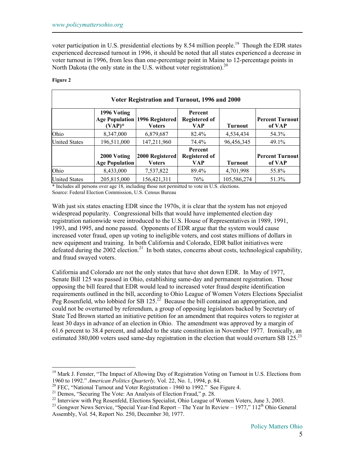voter participation in U.S. presidential elections by 8.54 million people.<sup>19</sup> Though the EDR states experienced decreased turnout in 1996, it should be noted that all states experienced a decrease in voter turnout in 1996, from less than one-percentage point in Maine to 12-percentage points in North Dakota (the only state in the U.S. without voter registration).<sup>20</sup>

#### **Figure 2**

 $\overline{a}$ 

| Voter Registration and Turnout, 1996 and 2000 |                                      |                                                        |                                               |                |                                  |  |  |  |
|-----------------------------------------------|--------------------------------------|--------------------------------------------------------|-----------------------------------------------|----------------|----------------------------------|--|--|--|
|                                               | 1996 Voting<br>(VAP)*                | <b>Age Population 1996 Registered</b><br><b>Voters</b> | Percent<br><b>Registered of</b><br>VAP        | <b>Turnout</b> | <b>Percent Turnout</b><br>of VAP |  |  |  |
| Ohio                                          | 8,347,000                            | 6,879,687                                              | 82.4%                                         | 4,534,434      | 54.3%                            |  |  |  |
| <b>United States</b>                          | 196,511,000                          | 147,211,960                                            | 74.4%                                         | 96,456,345     | 49.1%                            |  |  |  |
|                                               | 2000 Voting<br><b>Age Population</b> | 2000 Registered<br>Voters                              | Percent<br><b>Registered of</b><br><b>VAP</b> | <b>Turnout</b> | <b>Percent Turnout</b><br>of VAP |  |  |  |
| Ohio                                          | 8,433,000                            | 7,537,822                                              | 89.4%                                         | 4,701,998      | 55.8%                            |  |  |  |
| <b>United States</b>                          | 205,815,000                          | 156,421,311                                            | 76%                                           | 105,586,274    | 51.3%                            |  |  |  |

\* Includes all persons over age 18, including those not permitted to vote in U.S. elections. Source: Federal Election Commission, U.S. Census Bureau

With just six states enacting EDR since the 1970s, it is clear that the system has not enjoyed widespread popularity. Congressional bills that would have implemented election day registration nationwide were introduced to the U.S. House of Representatives in 1989, 1991, 1993, and 1995, and none passed. Opponents of EDR argue that the system would cause increased voter fraud, open up voting to ineligible voters, and cost states millions of dollars in new equipment and training. In both California and Colorado, EDR ballot initiatives were defeated during the 2002 election.<sup>21</sup> In both states, concerns about costs, technological capability, and fraud swayed voters.

California and Colorado are not the only states that have shot down EDR. In May of 1977, Senate Bill 125 was passed in Ohio, establishing same-day and permanent registration. Those opposing the bill feared that EDR would lead to increased voter fraud despite identification requirements outlined in the bill, according to Ohio League of Women Voters Elections Specialist Peg Rosenfield, who lobbied for SB 125.<sup>22</sup> Because the bill contained an appropriation, and could not be overturned by referendum, a group of opposing legislators backed by Secretary of State Ted Brown started an initiative petition for an amendment that requires voters to register at least 30 days in advance of an election in Ohio. The amendment was approved by a margin of 61.6 percent to 38.4 percent, and added to the state constitution in November 1977. Ironically, an estimated 380,000 voters used same-day registration in the election that would overturn SB 125.<sup>23</sup>

<sup>&</sup>lt;sup>19</sup> Mark J. Fenster, "The Impact of Allowing Day of Registration Voting on Turnout in U.S. Elections from 1960 to 1992." *American Politics Quarterly,* Vol. 22, No. 1, 1994, p. 84.<br><sup>20</sup> FEC, "National Turnout and Voter Registration - 1960 to 1992." See Figure 4.<br><sup>21</sup> Demos, "Securing The Vote: An Analysis of Election Fraud," p

<sup>&</sup>lt;sup>22</sup> Interview with Peg Rosenfeld, Elections Specialist, Ohio League of Women Voters, June 3, 2003.<br><sup>23</sup> Gongwer News Service, "Special Year-End Report – The Year In Review – 1977," 112<sup>th</sup> Ohio General

Assembly, Vol. 54, Report No. 250, December 30, 1977.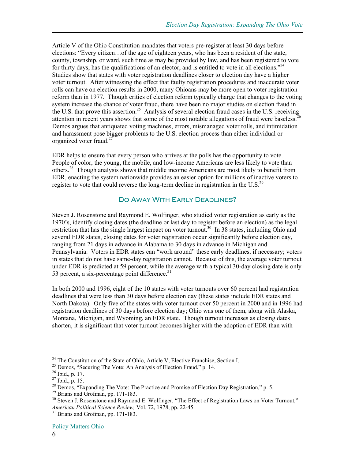Article V of the Ohio Constitution mandates that voters pre-register at least 30 days before elections: "Every citizen…of the age of eighteen years, who has been a resident of the state, county, township, or ward, such time as may be provided by law, and has been registered to vote for thirty days, has the qualifications of an elector, and is entitled to vote in all elections."<sup>24</sup> Studies show that states with voter registration deadlines closer to election day have a higher voter turnout. After witnessing the effect that faulty registration procedures and inaccurate voter rolls can have on election results in 2000, many Ohioans may be more open to voter registration reform than in 1977. Though critics of election reform typically charge that changes to the voting system increase the chance of voter fraud, there have been no major studies on election fraud in the U.S. that prove this assertion.<sup>25</sup> Analysis of several election fraud cases in the U.S. receiving attention in recent years shows that some of the most notable allegations of fraud were baseless.<sup>26</sup> Demos argues that antiquated voting machines, errors, mismanaged voter rolls, and intimidation and harassment pose bigger problems to the U.S. election process than either individual or organized voter fraud.<sup>27</sup>

EDR helps to ensure that every person who arrives at the polls has the opportunity to vote. People of color, the young, the mobile, and low-income Americans are less likely to vote than others.28 Though analysis shows that middle income Americans are most likely to benefit from EDR, enacting the system nationwide provides an easier option for millions of inactive voters to register to vote that could reverse the long-term decline in registration in the U.S.<sup>29</sup>

#### Do Away With Early Deadlines?

Steven J. Rosenstone and Raymond E. Wolfinger, who studied voter registration as early as the 1970's, identify closing dates (the deadline or last day to register before an election) as the legal restriction that has the single largest impact on voter turnout.<sup>30</sup> In 38 states, including Ohio and several EDR states, closing dates for voter registration occur significantly before election day, ranging from 21 days in advance in Alabama to 30 days in advance in Michigan and Pennsylvania. Voters in EDR states can "work around" these early deadlines, if necessary; voters in states that do not have same-day registration cannot. Because of this, the average voter turnout under EDR is predicted at 59 percent, while the average with a typical 30-day closing date is only 53 percent, a six-percentage point difference. $31$ 

In both 2000 and 1996, eight of the 10 states with voter turnouts over 60 percent had registration deadlines that were less than 30 days before election day (these states include EDR states and North Dakota). Only five of the states with voter turnout over 50 percent in 2000 and in 1996 had registration deadlines of 30 days before election day; Ohio was one of them, along with Alaska, Montana, Michigan, and Wyoming, an EDR state. Though turnout increases as closing dates shorten, it is significant that voter turnout becomes higher with the adoption of EDR than with

<sup>&</sup>lt;sup>24</sup> The Constitution of the State of Ohio, Article V, Elective Franchise, Section I.<br><sup>25</sup> Demos, "Securing The Vote: An Analysis of Election Fraud," p. 14.<br><sup>26</sup> Ibid., p. 17.

 $27$  Ibid., p. 15.

 $^{28}$  Demos, "Expanding The Vote: The Practice and Promise of Election Day Registration," p. 5.

<sup>&</sup>lt;sup>29</sup> Brians and Grofman, pp. 171-183.

<sup>&</sup>lt;sup>30</sup> Steven J. Rosenstone and Raymond E. Wolfinger, "The Effect of Registration Laws on Voter Turnout," *American Political Science Review, Vol. 72, 1978, pp. 22-45.* <sup>31</sup> Brians and Grofman, pp. 171-183.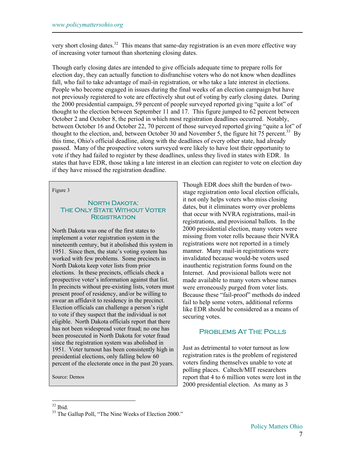very short closing dates.<sup>32</sup> This means that same-day registration is an even more effective way of increasing voter turnout than shortening closing dates.

Though early closing dates are intended to give officials adequate time to prepare rolls for election day, they can actually function to disfranchise voters who do not know when deadlines fall, who fail to take advantage of mail-in registration, or who take a late interest in elections. People who become engaged in issues during the final weeks of an election campaign but have not previously registered to vote are effectively shut out of voting by early closing dates. During the 2000 presidential campaign, 59 percent of people surveyed reported giving "quite a lot" of thought to the election between September 11 and 17. This figure jumped to 62 percent between October 2 and October 8, the period in which most registration deadlines occurred. Notably, between October 16 and October 22, 70 percent of those surveyed reported giving "quite a lot" of thought to the election, and, between October 30 and November 5, the figure hit 75 percent.<sup>33</sup> By this time, Ohio's official deadline, along with the deadlines of every other state, had already passed. Many of the prospective voters surveyed were likely to have lost their opportunity to vote if they had failed to register by these deadlines, unless they lived in states with EDR. In states that have EDR, those taking a late interest in an election can register to vote on election day if they have missed the registration deadline.

Figure 3

#### NORTH DAKOTA: **THE ONLY STATE WITHOUT VOTER REGISTRATION**

North Dakota was one of the first states to implement a voter registration system in the nineteenth century, but it abolished this system in 1951. Since then, the state's voting system has worked with few problems. Some precincts in North Dakota keep voter lists from prior elections. In these precincts, officials check a prospective voter's information against that list. In precincts without pre-existing lists, voters must present proof of residency, and/or be willing to swear an affidavit to residency in the precinct. Election officials can challenge a person's right to vote if they suspect that the individual is not eligible. North Dakota officials report that there has not been widespread voter fraud; no one has been prosecuted in North Dakota for voter fraud since the registration system was abolished in 1951. Voter turnout has been consistently high in presidential elections, only falling below 60 percent of the electorate once in the past 20 years.

Source: Demos

Though EDR does shift the burden of twostage registration onto local election officials, it not only helps voters who miss closing dates, but it eliminates worry over problems that occur with NVRA registrations, mail-in registrations, and provisional ballots. In the 2000 presidential election, many voters were missing from voter rolls because their NVRA registrations were not reported in a timely manner. Many mail-in registrations were invalidated because would-be voters used inauthentic registration forms found on the Internet. And provisional ballots were not made available to many voters whose names were erroneously purged from voter lists. Because these "fail-proof" methods do indeed fail to help some voters, additional reforms like EDR should be considered as a means of securing votes.

#### Problems At The Polls

Just as detrimental to voter turnout as low registration rates is the problem of registered voters finding themselves unable to vote at polling places. Caltech/MIT researchers report that 4 to 6 million votes were lost in the 2000 presidential election. As many as 3

 $32$  Ibid.

<sup>&</sup>lt;sup>33</sup> The Gallup Poll, "The Nine Weeks of Election 2000."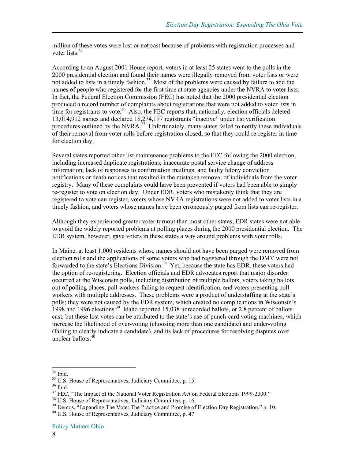million of these votes were lost or not cast because of problems with registration processes and voter lists<sup>34</sup>

According to an August 2001 House report, voters in at least 25 states went to the polls in the 2000 presidential election and found their names were illegally removed from voter lists or were not added to lists in a timely fashion.<sup>35</sup> Most of the problems were caused by failure to add the names of people who registered for the first time at state agencies under the NVRA to voter lists. In fact, the Federal Election Commission (FEC) has noted that the 2000 presidential election produced a record number of complaints about registrations that were not added to voter lists in time for registrants to vote.<sup>36</sup> Also, the FEC reports that, nationally, election officials deleted 13,014,912 names and declared 18,274,197 registrants "inactive" under list verification procedures outlined by the NVRA.37 Unfortunately, many states failed to notify these individuals of their removal from voter rolls before registration closed, so that they could re-register in time for election day.

Several states reported other list maintenance problems to the FEC following the 2000 election, including increased duplicate registrations; inaccurate postal service change of address information; lack of responses to confirmation mailings; and faulty felony conviction notifications or death notices that resulted in the mistaken removal of individuals from the voter registry. Many of these complaints could have been prevented if voters had been able to simply re-register to vote on election day. Under EDR, voters who mistakenly think that they are registered to vote can register, voters whose NVRA registrations were not added to voter lists in a timely fashion, and voters whose names have been erroneously purged from lists can re-register.

Although they experienced greater voter turnout than most other states, EDR states were not able to avoid the widely reported problems at polling places during the 2000 presidential election. The EDR system, however, gave voters in these states a way around problems with voter rolls.

In Maine, at least 1,000 residents whose names should not have been purged were removed from election rolls and the applications of some voters who had registered through the DMV were not forwarded to the state's Elections Division.<sup>38</sup> Yet, because the state has EDR, these voters had the option of re-registering. Election officials and EDR advocates report that major disorder occurred at the Wisconsin polls, including distribution of multiple ballots, voters taking ballots out of polling places, poll workers failing to request identification, and voters presenting poll workers with multiple addresses. These problems were a product of understaffing at the state's polls; they were not caused by the EDR system, which created no complications in Wisconsin's 1998 and 1996 elections.39 Idaho reported 15,038 unrecorded ballots, or 2.8 percent of ballots cast, but these lost votes can be attributed to the state's use of punch-card voting machines, which increase the likelihood of over-voting (choosing more than one candidate) and under-voting (failing to clearly indicate a candidate), and its lack of procedures for resolving disputes over unclear ballots. $40$ 

 $34$  Ibid.

 $35$  U.S. House of Representatives, Judiciary Committee, p. 15.  $36$  Ibid.

<sup>&</sup>lt;sup>37</sup> FEC, "The Impact of the National Voter Registration Act on Federal Elections 1999-2000."<br><sup>38</sup> U.S. House of Representatives, Judiciary Committee, p. 16.

 $39$  Demos, "Expanding The Vote: The Practice and Promise of Election Day Registration," p. 10.

 $40$  U.S. House of Representatives, Judiciary Committee, p. 47.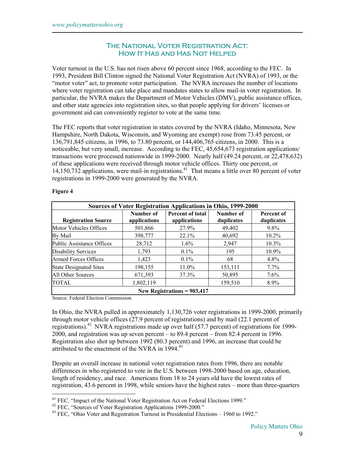#### The National Voter Registration Act: How It Has and Has Not Helped

Voter turnout in the U.S. has not risen above 60 percent since 1968, according to the FEC. In 1993, President Bill Clinton signed the National Voter Registration Act (NVRA) of 1993, or the "motor voter" act, to promote voter participation. The NVRA increases the number of locations where voter registration can take place and mandates states to allow mail-in voter registration. In particular, the NVRA makes the Department of Motor Vehicles (DMV), public assistance offices, and other state agencies into registration sites, so that people applying for drivers' licenses or government aid can conveniently register to vote at the same time.

The FEC reports that voter registration in states covered by the NVRA (Idaho, Minnesota, New Hampshire, North Dakota, Wisconsin, and Wyoming are exempt) rose from 73.45 percent, or 136,791,845 citizens, in 1996, to 73.80 percent, or 144,406,765 citizens, in 2000. This is a noticeable, but very small, increase. According to the FEC, 45,654,673 registration applications/ transactions were processed nationwide in 1999-2000. Nearly half (49.24 percent, or 22,478,632) of these applications were received through motor vehicle offices. Thirty one percent, or  $14,150,732$  applications, were mail-in registrations.<sup>41</sup> That means a little over 80 percent of voter registrations in 1999-2000 were generated by the NVRA.

| Sources of Voter Registration Applications in Ohio, 1999-2000 |                           |                                         |                         |                          |  |  |  |
|---------------------------------------------------------------|---------------------------|-----------------------------------------|-------------------------|--------------------------|--|--|--|
| <b>Registration Source</b>                                    | Number of<br>applications | <b>Percent of total</b><br>applications | Number of<br>duplicates | Percent of<br>duplicates |  |  |  |
| Motor Vehicles Offices                                        | 501,866                   | 27.9%                                   | 49,402                  | 9.8%                     |  |  |  |
| By Mail                                                       | 398,777                   | 22.1%                                   | 40,692                  | $10.2\%$                 |  |  |  |
| Public Assistance Offices                                     | 28,712                    | $1.6\%$                                 | 2,947                   | $10.3\%$                 |  |  |  |
| <b>Disability Services</b>                                    | 1,793                     | $0.1\%$                                 | 195                     | $10.9\%$                 |  |  |  |
| <b>Armed Forces Offices</b>                                   | 1,423                     | $0.1\%$                                 | 68                      | 4.8%                     |  |  |  |
| <b>State Designated Sites</b>                                 | 198,155                   | 11.0%                                   | 153,111                 | $7.7\%$                  |  |  |  |
| All Other Sources                                             | 671,393                   | 37.3%                                   | 50,895                  | 7.6%                     |  |  |  |
| TOTAL                                                         | 1,802,119                 |                                         | 159,510                 | 8.9%                     |  |  |  |
| New Registrations = $903,417$                                 |                           |                                         |                         |                          |  |  |  |

#### **Figure 4**

 $\overline{a}$ 

Source: Federal Election Commission

In Ohio, the NVRA pulled in approximately 1,130,726 voter registrations in 1999-2000, primarily through motor vehicle offices  $(27.9$  percent of registrations) and by mail  $(22.1$  percent of registrations).<sup>42</sup> NVRA registrations made up over half (57.7 percent) of registrations for 1999-2000, and registration was up seven percent – to 89.4 percent – from 82.4 percent in 1996. Registration also shot up between 1992 (80.3 percent) and 1996, an increase that could be attributed to the enactment of the NVRA in  $1994<sup>43</sup>$ 

Despite an overall increase in national voter registration rates from 1996, there are notable differences in who registered to vote in the U.S. between 1998-2000 based on age, education, length of residency, and race. Americans from 18 to 24 years old have the lowest rates of registration, 43.6 percent in 1998, while seniors have the highest rates – more than three-quarters

<sup>&</sup>lt;sup>41</sup> FEC, "Impact of the National Voter Registration Act on Federal Elections 1999."  $42$  FEC, "Sources of Voter Registration Applications 1999-2000."

<sup>&</sup>lt;sup>43</sup> FEC, "Ohio Voter and Registration Turnout in Presidential Elections – 1960 to 1992."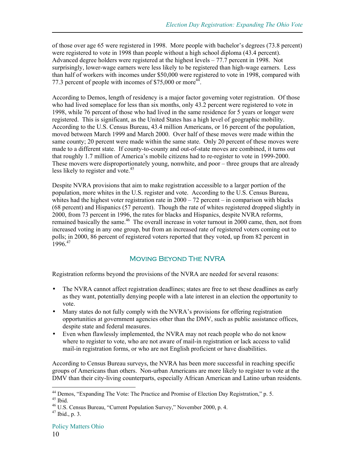of those over age 65 were registered in 1998. More people with bachelor's degrees (73.8 percent) were registered to vote in 1998 than people without a high school diploma (43.4 percent). Advanced degree holders were registered at the highest levels – 77.7 percent in 1998. Not surprisingly, lower-wage earners were less likely to be registered than high-wage earners. Less than half of workers with incomes under \$50,000 were registered to vote in 1998, compared with 77.3 percent of people with incomes of \$75,000 or more<sup>44</sup>.

According to Demos, length of residency is a major factor governing voter registration. Of those who had lived someplace for less than six months, only 43.2 percent were registered to vote in 1998, while 76 percent of those who had lived in the same residence for 5 years or longer were registered. This is significant, as the United States has a high level of geographic mobility. According to the U.S. Census Bureau, 43.4 million Americans, or 16 percent of the population, moved between March 1999 and March 2000. Over half of these moves were made within the same county; 20 percent were made within the same state. Only 20 percent of these moves were made to a different state. If county-to-county and out-of-state moves are combined, it turns out that roughly 1.7 million of America's mobile citizens had to re-register to vote in 1999-2000. These movers were disproportionately young, nonwhite, and poor – three groups that are already less likely to register and vote.<sup>45</sup>

Despite NVRA provisions that aim to make registration accessible to a larger portion of the population, more whites in the U.S. register and vote. According to the U.S. Census Bureau, whites had the highest voter registration rate in  $2000 - 72$  percent – in comparison with blacks (68 percent) and Hispanics (57 percent). Though the rate of whites registered dropped slightly in 2000, from 73 percent in 1996, the rates for blacks and Hispanics, despite NVRA reforms, remained basically the same.<sup>46</sup> The overall increase in voter turnout in 2000 came, then, not from increased voting in any one group, but from an increased rate of registered voters coming out to polls; in 2000, 86 percent of registered voters reported that they voted, up from 82 percent in 1996.47

#### Moving Beyond The NVRA

Registration reforms beyond the provisions of the NVRA are needed for several reasons:

- The NVRA cannot affect registration deadlines; states are free to set these deadlines as early as they want, potentially denying people with a late interest in an election the opportunity to vote.
- Many states do not fully comply with the NVRA's provisions for offering registration opportunities at government agencies other than the DMV, such as public assistance offices, despite state and federal measures.
- Even when flawlessly implemented, the NVRA may not reach people who do not know where to register to vote, who are not aware of mail-in registration or lack access to valid mail-in registration forms, or who are not English proficient or have disabilities.

According to Census Bureau surveys, the NVRA has been more successful in reaching specific groups of Americans than others. Non-urban Americans are more likely to register to vote at the DMV than their city-living counterparts, especially African American and Latino urban residents.

<sup>&</sup>lt;sup>44</sup> Demos, "Expanding The Vote: The Practice and Promise of Election Day Registration," p. 5.

<sup>45</sup> Ibid.

<sup>46</sup> U.S. Census Bureau, "Current Population Survey," November 2000, p. 4.

 $47$  Ibid., p. 3.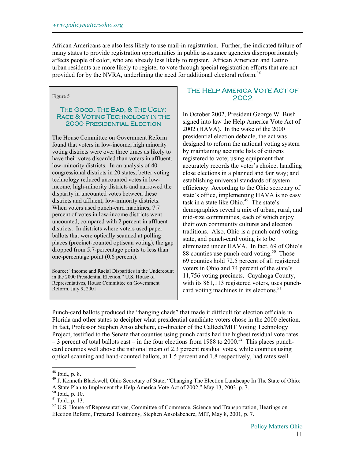African Americans are also less likely to use mail-in registration. Further, the indicated failure of many states to provide registration opportunities in public assistance agencies disproportionately affects people of color, who are already less likely to register. African American and Latino urban residents are more likely to register to vote through special registration efforts that are not provided for by the NVRA, underlining the need for additional electoral reform.<sup>48</sup>

#### Figure 5

#### The Good, The Bad, & The Ugly: Race & Voting Technology in the 2000 Presidential Election

The House Committee on Government Reform found that voters in low-income, high minority voting districts were over three times as likely to have their votes discarded than voters in affluent, low-minority districts. In an analysis of 40 congressional districts in 20 states, better voting technology reduced uncounted votes in lowincome, high-minority districts and narrowed the disparity in uncounted votes between these districts and affluent, low-minority districts. When voters used punch-card machines, 7.7 percent of votes in low-income districts went uncounted, compared with 2 percent in affluent districts. In districts where voters used paper ballots that were optically scanned at polling places (precinct-counted optiscan voting), the gap dropped from 5.7-percentage points to less than one-percentage point (0.6 percent).

Source: "Income and Racial Disparities in the Undercount in the 2000 Presidential Election," U.S. House of Representatives, House Committee on Government Reform, July 9, 2001.

#### **THE HELP AMERICA VOTE ACT OF** 2002

In October 2002, President George W. Bush signed into law the Help America Vote Act of 2002 (HAVA). In the wake of the 2000 presidential election debacle, the act was designed to reform the national voting system by maintaining accurate lists of citizens registered to vote; using equipment that accurately records the voter's choice; handling close elections in a planned and fair way; and establishing universal standards of system efficiency. According to the Ohio secretary of state's office, implementing HAVA is no easy task in a state like Ohio. $49\degree$ The state's demographics reveal a mix of urban, rural, and mid-size communities, each of which enjoy their own community cultures and election traditions. Also, Ohio is a punch-card voting state, and punch-card voting is to be eliminated under HAVA. In fact, 69 of Ohio's 88 counties use punch-card voting.<sup>50</sup> Those 69 counties hold 72.5 percent of all registered voters in Ohio and 74 percent of the state's 11,756 voting precincts. Cuyahoga County, with its 861,113 registered voters, uses punchcard voting machines in its elections.<sup>51</sup>

Punch-card ballots produced the "hanging chads" that made it difficult for election officials in Florida and other states to decipher what presidential candidate voters chose in the 2000 election. In fact, Professor Stephen Ansolabehere, co-director of the Caltech/MIT Voting Technology Project, testified to the Senate that counties using punch cards had the highest residual vote rates  $-$  3 percent of total ballots cast – in the four elections from 1988 to 2000.<sup>52</sup> This places punchcard counties well above the national mean of 2.3 percent residual votes, while counties using optical scanning and hand-counted ballots, at 1.5 percent and 1.8 respectively, had rates well

 $48$  Ibid., p. 8.

<sup>49</sup> J. Kenneth Blackwell, Ohio Secretary of State, "Changing The Election Landscape In The State of Ohio: A State Plan to Implement the Help America Vote Act of 2002," May 13, 2003, p. 7. 50 Ibid., p. 10.

<sup>51</sup> Ibid., p. 13.

 $52$  U.S. House of Representatives, Committee of Commerce, Science and Transportation, Hearings on Election Reform, Prepared Testimony, Stephen Ansolabehere, MIT, May 8, 2001, p. 7.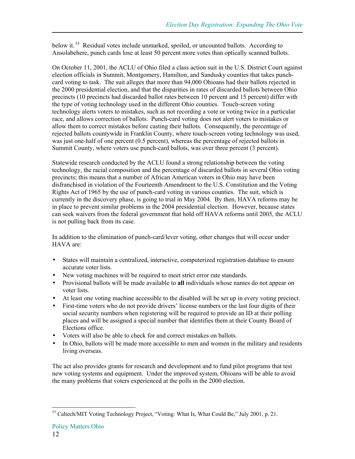below it.<sup>53</sup> Residual votes include unmarked, spoiled, or uncounted ballots. According to Ansolabehere, punch cards lose at least 50 percent more votes than optically scanned ballots.

On October 11, 2001, the ACLU of Ohio filed a class action suit in the U.S. District Court against election officials in Summit, Montgomery, Hamilton, and Sandusky counties that takes punchcard voting to task. The suit alleges that more than 94,000 Ohioans had their ballots rejected in the 2000 presidential election, and that the disparities in rates of discarded ballots between Ohio precincts (10 precincts had discarded ballot rates between 10 percent and 15 percent) differ with the type of voting technology used in the different Ohio counties. Touch-screen voting technology alerts voters to mistakes, such as not recording a vote or voting twice in a particular race, and allows correction of ballots. Punch-card voting does not alert voters to mistakes or allow them to correct mistakes before casting their ballots. Consequently, the percentage of rejected ballots countywide in Franklin County, where touch-screen voting technology was used, was just one-half of one percent (0.5 percent), whereas the percentage of rejected ballots in Summit County, where voters use punch-card ballots, was over three percent (3 percent).

Statewide research conducted by the ACLU found a strong relationship between the voting technology, the racial composition and the percentage of discarded ballots in several Ohio voting precincts; this means that a number of African American voters in Ohio may have been disfranchised in violation of the Fourteenth Amendment to the U.S. Constitution and the Voting Rights Act of 1965 by the use of punch-card voting in various counties. The suit, which is currently in the discovery phase, is going to trial in May 2004. By then, HAVA reforms may be in place to prevent similar problems in the 2004 presidential election. However, because states can seek waivers from the federal government that hold off HAVA reforms until 2005, the ACLU is not pulling back from its case.

In addition to the elimination of punch-card/lever voting, other changes that will occur under HAVA are:

- States will maintain a centralized, interactive, computerized registration database to ensure accurate voter lists.
- New voting machines will be required to meet strict error rate standards.
- Provisional ballots will be made available to **all** individuals whose names do not appear on voter lists.
- At least one voting machine accessible to the disabled will be set up in every voting precinct.
- First-time voters who do not provide drivers' license numbers or the last four digits of their social security numbers when registering will be required to provide an ID at their polling places and will be assigned a special number that identifies them at their County Board of Elections office.
- Voters will also be able to check for and correct mistakes on ballots.
- In Ohio, ballots will be made more accessible to men and women in the military and residents living overseas.

The act also provides grants for research and development and to fund pilot programs that test new voting systems and equipment. Under the improved system, Ohioans will be able to avoid the many problems that voters experienced at the polls in the 2000 election.

<sup>&</sup>lt;sup>53</sup> Caltech/MIT Voting Technology Project, "Voting: What Is, What Could Be," July 2001, p. 21.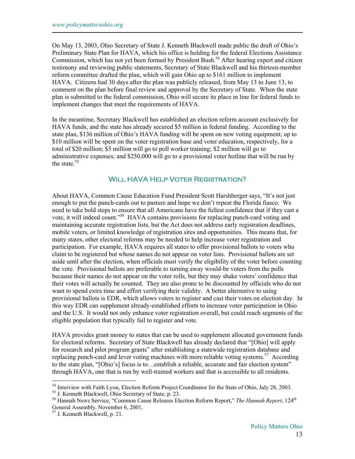On May 13, 2003, Ohio Secretary of State J. Kenneth Blackwell made public the draft of Ohio's Preliminary State Plan for HAVA, which his office is holding for the federal Elections Assistance Commission, which has not yet been formed by President Bush.<sup>54</sup> After hearing expert and citizen testimony and reviewing public statements, Secretary of State Blackwell and his thirteen-member reform committee drafted the plan, which will gain Ohio up to \$161 million to implement HAVA. Citizens had 30 days after the plan was publicly released, from May 13 to June 13, to comment on the plan before final review and approval by the Secretary of State. When the state plan is submitted to the federal commission, Ohio will secure its place in line for federal funds to implement changes that meet the requirements of HAVA.

In the meantime, Secretary Blackwell has established an election reform account exclusively for HAVA funds, and the state has already secured \$5 million in federal funding. According to the state plan, \$136 million of Ohio's HAVA funding will be spent on new voting equipment; up to \$10 million will be spent on the voter registration base and voter education, respectively, for a total of \$20 million; \$5 million will go to poll worker training; \$2 million will go to administrative expenses; and \$250,000 will go to a provisional voter hotline that will be run by the state. $55$ 

#### WILL HAVA HELP VOTER REGISTRATION?

About HAVA, Common Cause Education Fund President Scott Harshberger says, "It's not just enough to put the punch-cards out to pasture and hope we don't repeat the Florida fiasco. We need to take bold steps to ensure that all Americans have the fullest confidence that if they cast a vote, it will indeed count."56 HAVA contains provisions for replacing punch-card voting and maintaining accurate registration lists, but the Act does not address early registration deadlines, mobile voters, or limited knowledge of registration sites and opportunities. This means that, for many states, other electoral reforms may be needed to help increase voter registration and participation. For example, HAVA requires all states to offer provisional ballots to voters who claim to be registered but whose names do not appear on voter lists. Provisional ballots are set aside until after the election, when officials must verify the eligibility of the voter before counting the vote. Provisional ballots are preferable to turning away would-be voters from the polls because their names do not appear on the voter rolls, but they may shake voters' confidence that their votes will actually be counted. They are also prone to be discounted by officials who do not want to spend extra time and effort verifying their validity. A better alternative to using provisional ballots is EDR, which allows voters to register and cast their votes on election day. In this way EDR can supplement already-established efforts to increase voter participation in Ohio and the U.S. It would not only enhance voter registration overall, but could reach segments of the eligible population that typically fail to register and vote.

HAVA provides grant money to states that can be used to supplement allocated government funds for electoral reforms. Secretary of State Blackwell has already declared that "[Ohio] will apply for research and pilot program grants" after establishing a statewide registration database and replacing punch-card and lever voting machines with more reliable voting systems.<sup>57</sup> According to the state plan, "[Ohio's] focus is to…establish a reliable, accurate and fair election system" through HAVA, one that is run by well-trained workers and that is accessible to all residents.

<sup>&</sup>lt;sup>54</sup> Interview with Faith Lyon, Election Reform Project Coordinator for the State of Ohio, July 28, 2003.<br><sup>55</sup> J. Kenneth Blackwell, Ohio Secretary of State, p. 23.<br><sup>56</sup> Hannah News Service, "Common Cause Releases Election General Assembly, November 6, 2001.

<sup>57</sup> J. Kenneth Blackwell, p. 21.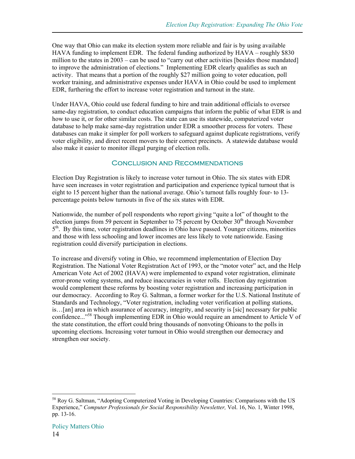One way that Ohio can make its election system more reliable and fair is by using available HAVA funding to implement EDR. The federal funding authorized by HAVA – roughly \$830 million to the states in 2003 – can be used to "carry out other activities [besides those mandated] to improve the administration of elections." Implementing EDR clearly qualifies as such an activity. That means that a portion of the roughly \$27 million going to voter education, poll worker training, and administrative expenses under HAVA in Ohio could be used to implement EDR, furthering the effort to increase voter registration and turnout in the state.

Under HAVA, Ohio could use federal funding to hire and train additional officials to oversee same-day registration, to conduct education campaigns that inform the public of what EDR is and how to use it, or for other similar costs. The state can use its statewide, computerized voter database to help make same-day registration under EDR a smoother process for voters. These databases can make it simpler for poll workers to safeguard against duplicate registrations, verify voter eligibility, and direct recent movers to their correct precincts. A statewide database would also make it easier to monitor illegal purging of election rolls.

#### Conclusion and Recommendations

Election Day Registration is likely to increase voter turnout in Ohio. The six states with EDR have seen increases in voter registration and participation and experience typical turnout that is eight to 15 percent higher than the national average. Ohio's turnout falls roughly four- to 13 percentage points below turnouts in five of the six states with EDR.

Nationwide, the number of poll respondents who report giving "quite a lot" of thought to the election jumps from 59 percent in September to 75 percent by October  $30<sup>th</sup>$  through November  $5<sup>th</sup>$ . By this time, voter registration deadlines in Ohio have passed. Younger citizens, minorities and those with less schooling and lower incomes are less likely to vote nationwide. Easing registration could diversify participation in elections.

To increase and diversify voting in Ohio, we recommend implementation of Election Day Registration. The National Voter Registration Act of 1993, or the "motor voter" act, and the Help American Vote Act of 2002 (HAVA) were implemented to expand voter registration, eliminate error-prone voting systems, and reduce inaccuracies in voter rolls. Election day registration would complement these reforms by boosting voter registration and increasing participation in our democracy. According to Roy G. Saltman, a former worker for the U.S. National Institute of Standards and Technology, "Voter registration, including voter verification at polling stations, is…[an] area in which assurance of accuracy, integrity, and security is [sic] necessary for public confidence..."<sup>58</sup> Though implementing EDR in Ohio would require an amendment to Article V of the state constitution, the effort could bring thousands of nonvoting Ohioans to the polls in upcoming elections. Increasing voter turnout in Ohio would strengthen our democracy and strengthen our society.

<sup>&</sup>lt;sup>58</sup> Roy G. Saltman, "Adopting Computerized Voting in Developing Countries: Comparisons with the US Experience," *Computer Professionals for Social Responsibility Newsletter,* Vol. 16, No. 1, Winter 1998, pp. 13-16.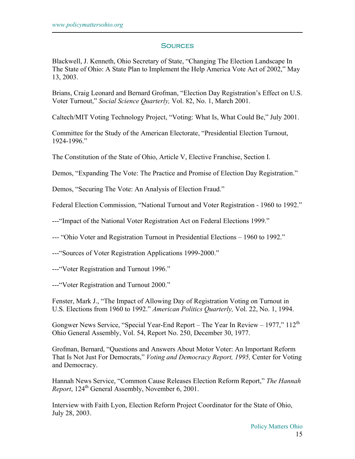#### **SOURCES**

Blackwell, J. Kenneth, Ohio Secretary of State, "Changing The Election Landscape In The State of Ohio: A State Plan to Implement the Help America Vote Act of 2002," May 13, 2003.

Brians, Craig Leonard and Bernard Grofman, "Election Day Registration's Effect on U.S. Voter Turnout," *Social Science Quarterly,* Vol. 82, No. 1, March 2001.

Caltech/MIT Voting Technology Project, "Voting: What Is, What Could Be," July 2001.

Committee for the Study of the American Electorate, "Presidential Election Turnout, 1924-1996."

The Constitution of the State of Ohio, Article V, Elective Franchise, Section I.

Demos, "Expanding The Vote: The Practice and Promise of Election Day Registration."

Demos, "Securing The Vote: An Analysis of Election Fraud."

Federal Election Commission, "National Turnout and Voter Registration - 1960 to 1992."

---"Impact of the National Voter Registration Act on Federal Elections 1999."

--- "Ohio Voter and Registration Turnout in Presidential Elections – 1960 to 1992."

---"Sources of Voter Registration Applications 1999-2000."

---"Voter Registration and Turnout 1996."

---"Voter Registration and Turnout 2000."

Fenster, Mark J., "The Impact of Allowing Day of Registration Voting on Turnout in U.S. Elections from 1960 to 1992." *American Politics Quarterly,* Vol. 22, No. 1, 1994.

Gongwer News Service, "Special Year-End Report – The Year In Review – 1977,"  $112<sup>th</sup>$ Ohio General Assembly, Vol. 54, Report No. 250, December 30, 1977.

Grofman, Bernard, "Questions and Answers About Motor Voter: An Important Reform That Is Not Just For Democrats," *Voting and Democracy Report, 1995,* Center for Voting and Democracy.

Hannah News Service, "Common Cause Releases Election Reform Report," *The Hannah Report*, 124<sup>th</sup> General Assembly, November 6, 2001.

Interview with Faith Lyon, Election Reform Project Coordinator for the State of Ohio, July 28, 2003.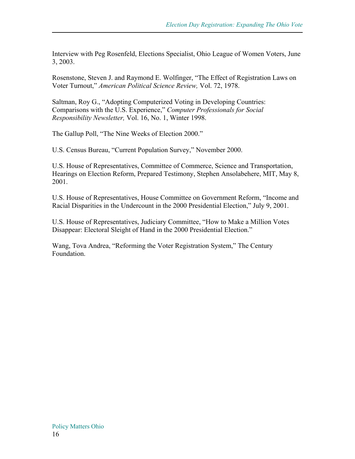Interview with Peg Rosenfeld, Elections Specialist, Ohio League of Women Voters, June 3, 2003.

Rosenstone, Steven J. and Raymond E. Wolfinger, "The Effect of Registration Laws on Voter Turnout," *American Political Science Review,* Vol. 72, 1978.

Saltman, Roy G., "Adopting Computerized Voting in Developing Countries: Comparisons with the U.S. Experience," *Computer Professionals for Social Responsibility Newsletter,* Vol. 16, No. 1, Winter 1998.

The Gallup Poll, "The Nine Weeks of Election 2000."

U.S. Census Bureau, "Current Population Survey," November 2000.

U.S. House of Representatives, Committee of Commerce, Science and Transportation, Hearings on Election Reform, Prepared Testimony, Stephen Ansolabehere, MIT, May 8, 2001.

U.S. House of Representatives, House Committee on Government Reform, "Income and Racial Disparities in the Undercount in the 2000 Presidential Election," July 9, 2001.

U.S. House of Representatives, Judiciary Committee, "How to Make a Million Votes Disappear: Electoral Sleight of Hand in the 2000 Presidential Election."

Wang, Tova Andrea, "Reforming the Voter Registration System," The Century Foundation.